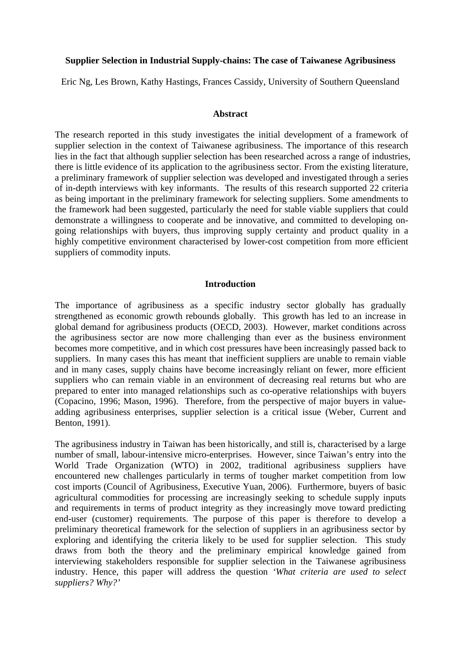## **Supplier Selection in Industrial Supply-chains: The case of Taiwanese Agribusiness**

Eric Ng, Les Brown, Kathy Hastings, Frances Cassidy, University of Southern Queensland

#### **Abstract**

The research reported in this study investigates the initial development of a framework of supplier selection in the context of Taiwanese agribusiness. The importance of this research lies in the fact that although supplier selection has been researched across a range of industries, there is little evidence of its application to the agribusiness sector. From the existing literature, a preliminary framework of supplier selection was developed and investigated through a series of in-depth interviews with key informants. The results of this research supported 22 criteria as being important in the preliminary framework for selecting suppliers. Some amendments to the framework had been suggested, particularly the need for stable viable suppliers that could demonstrate a willingness to cooperate and be innovative, and committed to developing ongoing relationships with buyers, thus improving supply certainty and product quality in a highly competitive environment characterised by lower-cost competition from more efficient suppliers of commodity inputs.

### **Introduction**

The importance of agribusiness as a specific industry sector globally has gradually strengthened as economic growth rebounds globally. This growth has led to an increase in global demand for agribusiness products (OECD, 2003). However, market conditions across the agribusiness sector are now more challenging than ever as the business environment becomes more competitive, and in which cost pressures have been increasingly passed back to suppliers. In many cases this has meant that inefficient suppliers are unable to remain viable and in many cases, supply chains have become increasingly reliant on fewer, more efficient suppliers who can remain viable in an environment of decreasing real returns but who are prepared to enter into managed relationships such as co-operative relationships with buyers (Copacino, 1996; Mason, 1996). Therefore, from the perspective of major buyers in valueadding agribusiness enterprises, supplier selection is a critical issue (Weber, Current and Benton, 1991).

The agribusiness industry in Taiwan has been historically, and still is, characterised by a large number of small, labour-intensive micro-enterprises. However, since Taiwan's entry into the World Trade Organization (WTO) in 2002, traditional agribusiness suppliers have encountered new challenges particularly in terms of tougher market competition from low cost imports (Council of Agribusiness, Executive Yuan, 2006). Furthermore, buyers of basic agricultural commodities for processing are increasingly seeking to schedule supply inputs and requirements in terms of product integrity as they increasingly move toward predicting end-user (customer) requirements. The purpose of this paper is therefore to develop a preliminary theoretical framework for the selection of suppliers in an agribusiness sector by exploring and identifying the criteria likely to be used for supplier selection. This study draws from both the theory and the preliminary empirical knowledge gained from interviewing stakeholders responsible for supplier selection in the Taiwanese agribusiness industry. Hence, this paper will address the question *'What criteria are used to select suppliers? Why?'*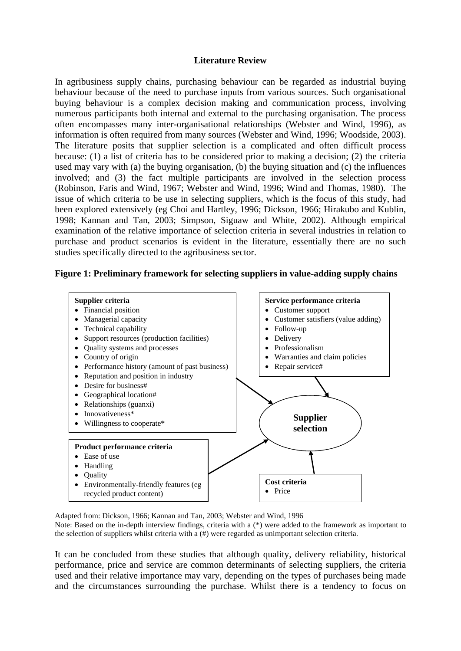## **Literature Review**

In agribusiness supply chains, purchasing behaviour can be regarded as industrial buying behaviour because of the need to purchase inputs from various sources. Such organisational buying behaviour is a complex decision making and communication process, involving numerous participants both internal and external to the purchasing organisation. The process often encompasses many inter-organisational relationships (Webster and Wind, 1996), as information is often required from many sources (Webster and Wind, 1996; Woodside, 2003). The literature posits that supplier selection is a complicated and often difficult process because: (1) a list of criteria has to be considered prior to making a decision; (2) the criteria used may vary with (a) the buying organisation, (b) the buying situation and (c) the influences involved; and (3) the fact multiple participants are involved in the selection process (Robinson, Faris and Wind, 1967; Webster and Wind, 1996; Wind and Thomas, 1980). The issue of which criteria to be use in selecting suppliers, which is the focus of this study, had been explored extensively (eg Choi and Hartley, 1996; Dickson, 1966; Hirakubo and Kublin, 1998; Kannan and Tan, 2003; Simpson, Siguaw and White, 2002). Although empirical examination of the relative importance of selection criteria in several industries in relation to purchase and product scenarios is evident in the literature, essentially there are no such studies specifically directed to the agribusiness sector.

#### **Figure 1: Preliminary framework for selecting suppliers in value-adding supply chains**



Adapted from: Dickson, 1966; Kannan and Tan, 2003; Webster and Wind, 1996 Note: Based on the in-depth interview findings, criteria with a (\*) were added to the framework as important to the selection of suppliers whilst criteria with a (#) were regarded as unimportant selection criteria.

It can be concluded from these studies that although quality, delivery reliability, historical performance, price and service are common determinants of selecting suppliers, the criteria used and their relative importance may vary, depending on the types of purchases being made and the circumstances surrounding the purchase. Whilst there is a tendency to focus on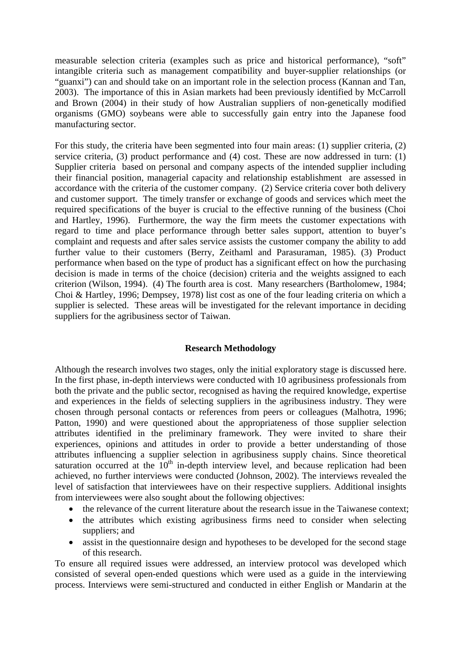measurable selection criteria (examples such as price and historical performance), "soft" intangible criteria such as management compatibility and buyer-supplier relationships (or "guanxi") can and should take on an important role in the selection process (Kannan and Tan, 2003). The importance of this in Asian markets had been previously identified by McCarroll and Brown (2004) in their study of how Australian suppliers of non-genetically modified organisms (GMO) soybeans were able to successfully gain entry into the Japanese food manufacturing sector.

For this study, the criteria have been segmented into four main areas: (1) supplier criteria, (2) service criteria, (3) product performance and (4) cost. These are now addressed in turn: (1) Supplier criteria based on personal and company aspects of the intended supplier including their financial position, managerial capacity and relationship establishment are assessed in accordance with the criteria of the customer company. (2) Service criteria cover both delivery and customer support. The timely transfer or exchange of goods and services which meet the required specifications of the buyer is crucial to the effective running of the business (Choi and Hartley, 1996). Furthermore, the way the firm meets the customer expectations with regard to time and place performance through better sales support, attention to buyer's complaint and requests and after sales service assists the customer company the ability to add further value to their customers (Berry, Zeithaml and Parasuraman, 1985). (3) Product performance when based on the type of product has a significant effect on how the purchasing decision is made in terms of the choice (decision) criteria and the weights assigned to each criterion (Wilson, 1994). (4) The fourth area is cost. Many researchers (Bartholomew, 1984; Choi & Hartley, 1996; Dempsey, 1978) list cost as one of the four leading criteria on which a supplier is selected. These areas will be investigated for the relevant importance in deciding suppliers for the agribusiness sector of Taiwan.

## **Research Methodology**

Although the research involves two stages, only the initial exploratory stage is discussed here. In the first phase, in-depth interviews were conducted with 10 agribusiness professionals from both the private and the public sector, recognised as having the required knowledge, expertise and experiences in the fields of selecting suppliers in the agribusiness industry. They were chosen through personal contacts or references from peers or colleagues (Malhotra, 1996; Patton, 1990) and were questioned about the appropriateness of those supplier selection attributes identified in the preliminary framework. They were invited to share their experiences, opinions and attitudes in order to provide a better understanding of those attributes influencing a supplier selection in agribusiness supply chains. Since theoretical saturation occurred at the  $10<sup>th</sup>$  in-depth interview level, and because replication had been achieved, no further interviews were conducted (Johnson, 2002). The interviews revealed the level of satisfaction that interviewees have on their respective suppliers. Additional insights from interviewees were also sought about the following objectives:

- the relevance of the current literature about the research issue in the Taiwanese context;
- the attributes which existing agribusiness firms need to consider when selecting suppliers; and
- assist in the questionnaire design and hypotheses to be developed for the second stage of this research.

To ensure all required issues were addressed, an interview protocol was developed which consisted of several open-ended questions which were used as a guide in the interviewing process. Interviews were semi-structured and conducted in either English or Mandarin at the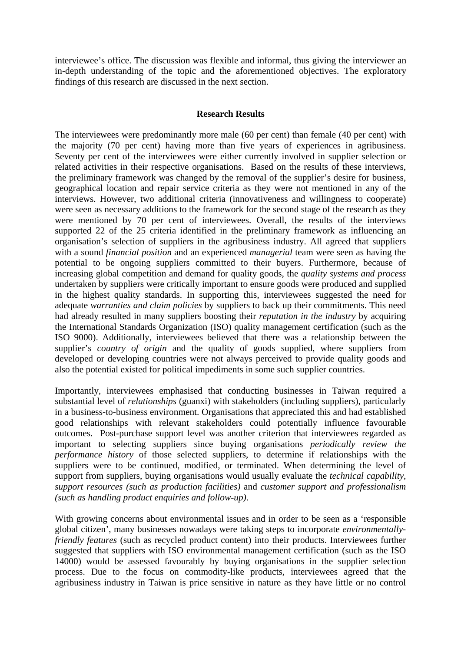interviewee's office. The discussion was flexible and informal, thus giving the interviewer an in-depth understanding of the topic and the aforementioned objectives. The exploratory findings of this research are discussed in the next section.

## **Research Results**

The interviewees were predominantly more male (60 per cent) than female (40 per cent) with the majority (70 per cent) having more than five years of experiences in agribusiness. Seventy per cent of the interviewees were either currently involved in supplier selection or related activities in their respective organisations. Based on the results of these interviews, the preliminary framework was changed by the removal of the supplier's desire for business, geographical location and repair service criteria as they were not mentioned in any of the interviews. However, two additional criteria (innovativeness and willingness to cooperate) were seen as necessary additions to the framework for the second stage of the research as they were mentioned by 70 per cent of interviewees. Overall, the results of the interviews supported 22 of the 25 criteria identified in the preliminary framework as influencing an organisation's selection of suppliers in the agribusiness industry. All agreed that suppliers with a sound *financial position* and an experienced *managerial* team were seen as having the potential to be ongoing suppliers committed to their buyers. Furthermore, because of increasing global competition and demand for quality goods, the *quality systems and process* undertaken by suppliers were critically important to ensure goods were produced and supplied in the highest quality standards. In supporting this, interviewees suggested the need for adequate *warranties and claim policies* by suppliers to back up their commitments. This need had already resulted in many suppliers boosting their *reputation in the industry* by acquiring the International Standards Organization (ISO) quality management certification (such as the ISO 9000). Additionally, interviewees believed that there was a relationship between the supplier's *country of origin* and the quality of goods supplied, where suppliers from developed or developing countries were not always perceived to provide quality goods and also the potential existed for political impediments in some such supplier countries.

Importantly, interviewees emphasised that conducting businesses in Taiwan required a substantial level of *relationships* (guanxi) with stakeholders (including suppliers), particularly in a business-to-business environment. Organisations that appreciated this and had established good relationships with relevant stakeholders could potentially influence favourable outcomes. Post-purchase support level was another criterion that interviewees regarded as important to selecting suppliers since buying organisations *periodically review the performance history* of those selected suppliers, to determine if relationships with the suppliers were to be continued, modified, or terminated. When determining the level of support from suppliers, buying organisations would usually evaluate the *technical capability*, *support resources (such as production facilities)* and *customer support and professionalism (such as handling product enquiries and follow-up)*.

With growing concerns about environmental issues and in order to be seen as a 'responsible global citizen', many businesses nowadays were taking steps to incorporate *environmentallyfriendly features* (such as recycled product content) into their products. Interviewees further suggested that suppliers with ISO environmental management certification (such as the ISO 14000) would be assessed favourably by buying organisations in the supplier selection process. Due to the focus on commodity-like products, interviewees agreed that the agribusiness industry in Taiwan is price sensitive in nature as they have little or no control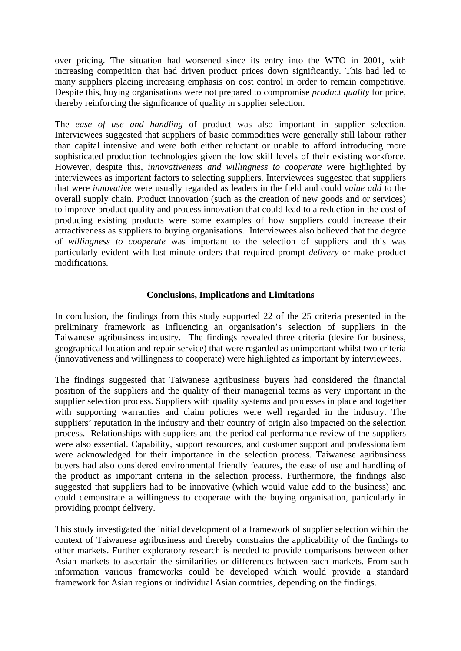over pricing. The situation had worsened since its entry into the WTO in 2001, with increasing competition that had driven product prices down significantly. This had led to many suppliers placing increasing emphasis on cost control in order to remain competitive. Despite this, buying organisations were not prepared to compromise *product quality* for price, thereby reinforcing the significance of quality in supplier selection.

The *ease of use and handling* of product was also important in supplier selection. Interviewees suggested that suppliers of basic commodities were generally still labour rather than capital intensive and were both either reluctant or unable to afford introducing more sophisticated production technologies given the low skill levels of their existing workforce. However, despite this, *innovativeness and willingness to cooperate* were highlighted by interviewees as important factors to selecting suppliers. Interviewees suggested that suppliers that were *innovative* were usually regarded as leaders in the field and could *value add* to the overall supply chain. Product innovation (such as the creation of new goods and or services) to improve product quality and process innovation that could lead to a reduction in the cost of producing existing products were some examples of how suppliers could increase their attractiveness as suppliers to buying organisations. Interviewees also believed that the degree of *willingness to cooperate* was important to the selection of suppliers and this was particularly evident with last minute orders that required prompt *delivery* or make product modifications.

# **Conclusions, Implications and Limitations**

In conclusion, the findings from this study supported 22 of the 25 criteria presented in the preliminary framework as influencing an organisation's selection of suppliers in the Taiwanese agribusiness industry. The findings revealed three criteria (desire for business, geographical location and repair service) that were regarded as unimportant whilst two criteria (innovativeness and willingness to cooperate) were highlighted as important by interviewees.

The findings suggested that Taiwanese agribusiness buyers had considered the financial position of the suppliers and the quality of their managerial teams as very important in the supplier selection process. Suppliers with quality systems and processes in place and together with supporting warranties and claim policies were well regarded in the industry. The suppliers' reputation in the industry and their country of origin also impacted on the selection process. Relationships with suppliers and the periodical performance review of the suppliers were also essential. Capability, support resources, and customer support and professionalism were acknowledged for their importance in the selection process. Taiwanese agribusiness buyers had also considered environmental friendly features, the ease of use and handling of the product as important criteria in the selection process. Furthermore, the findings also suggested that suppliers had to be innovative (which would value add to the business) and could demonstrate a willingness to cooperate with the buying organisation, particularly in providing prompt delivery.

This study investigated the initial development of a framework of supplier selection within the context of Taiwanese agribusiness and thereby constrains the applicability of the findings to other markets. Further exploratory research is needed to provide comparisons between other Asian markets to ascertain the similarities or differences between such markets. From such information various frameworks could be developed which would provide a standard framework for Asian regions or individual Asian countries, depending on the findings.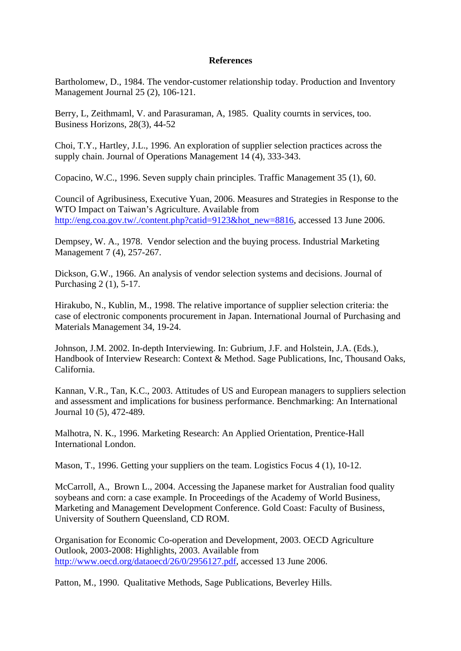## **References**

Bartholomew, D., 1984. The vendor-customer relationship today. Production and Inventory Management Journal 25 (2), 106-121.

Berry, L, Zeithmaml, V. and Parasuraman, A, 1985. Quality cournts in services, too. Business Horizons, 28(3), 44-52

Choi, T.Y., Hartley, J.L., 1996. An exploration of supplier selection practices across the supply chain. Journal of Operations Management 14 (4), 333-343.

Copacino, W.C., 1996. Seven supply chain principles. Traffic Management 35 (1), 60.

Council of Agribusiness, Executive Yuan, 2006. Measures and Strategies in Response to the WTO Impact on Taiwan's Agriculture. Available from [http://eng.coa.gov.tw/./content.php?catid=9123&hot\\_new=8816,](http://eng.coa.gov.tw/./content.php?catid=9123&hot_new=8816) accessed 13 June 2006.

Dempsey, W. A., 1978. Vendor selection and the buying process. Industrial Marketing Management 7 (4), 257-267.

Dickson, G.W., 1966. An analysis of vendor selection systems and decisions. Journal of Purchasing 2 (1), 5-17.

Hirakubo, N., Kublin, M., 1998. The relative importance of supplier selection criteria: the case of electronic components procurement in Japan. International Journal of Purchasing and Materials Management 34, 19-24.

Johnson, J.M. 2002. In-depth Interviewing. In: Gubrium, J.F. and Holstein, J.A. (Eds.), Handbook of Interview Research: Context & Method. Sage Publications, Inc, Thousand Oaks, California.

Kannan, V.R., Tan, K.C., 2003. Attitudes of US and European managers to suppliers selection and assessment and implications for business performance. Benchmarking: An International Journal 10 (5), 472-489.

Malhotra, N. K., 1996. Marketing Research: An Applied Orientation, Prentice-Hall International London.

Mason, T., 1996. Getting your suppliers on the team. Logistics Focus 4 (1), 10-12.

McCarroll, A., Brown L., 2004. Accessing the Japanese market for Australian food quality soybeans and corn: a case example. In Proceedings of the Academy of World Business, Marketing and Management Development Conference. Gold Coast: Faculty of Business, University of Southern Queensland, CD ROM.

Organisation for Economic Co-operation and Development, 2003. OECD Agriculture Outlook, 2003-2008: Highlights, 2003. Available from <http://www.oecd.org/dataoecd/26/0/2956127.pdf>, accessed 13 June 2006.

Patton, M., 1990. Qualitative Methods, Sage Publications, Beverley Hills.